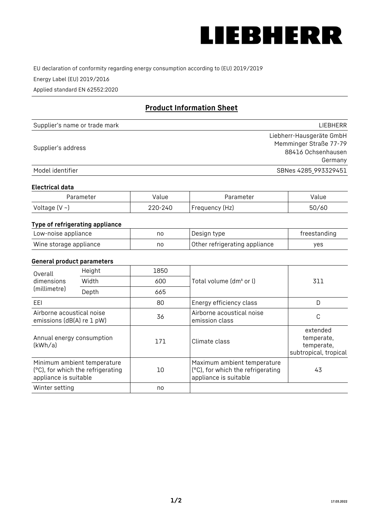

EU declaration of conformity regarding energy consumption according to (EU) 2019/2019

Energy Label (EU) 2019/2016

Applied standard EN 62552:2020

# **Product Information Sheet**

| Supplier's name or trade mark | LIEBHERR                 |
|-------------------------------|--------------------------|
|                               | Liebherr-Hausgeräte GmbH |
| Supplier's address            | Memminger Straße 77-79   |
|                               | 88416 Ochsenhausen       |
|                               | Germany                  |
| Model identifier              | SBNes 4285_993329451     |

#### **Electrical data**

| Parameter          | Value   | Parameter      | Value |
|--------------------|---------|----------------|-------|
| Voltage $(V \sim)$ | 220-240 | Frequency (Hz) | 50/60 |

### **Type of refrigerating appliance**

| Low-noise appliance    | nc | Design type                   | freestanding |
|------------------------|----|-------------------------------|--------------|
| Wine storage appliance | nc | Other refrigerating appliance | ves          |

#### **General product parameters**

| Overall<br>dimensions<br>(millimetre)                  | Height                                                           | 1850 |                                                                                           | 311                                                           |
|--------------------------------------------------------|------------------------------------------------------------------|------|-------------------------------------------------------------------------------------------|---------------------------------------------------------------|
|                                                        | Width                                                            | 600  | Total volume (dm <sup>3</sup> or l)                                                       |                                                               |
|                                                        | Depth                                                            | 665  |                                                                                           |                                                               |
| EEL                                                    |                                                                  | 80   | Energy efficiency class                                                                   | D                                                             |
| Airborne acoustical noise<br>emissions (dB(A) re 1 pW) |                                                                  | 36   | Airborne acoustical noise<br>emission class                                               | С                                                             |
| Annual energy consumption<br>(kWh/a)                   |                                                                  | 171  | Climate class                                                                             | extended<br>temperate,<br>temperate,<br>subtropical, tropical |
| appliance is suitable                                  | Minimum ambient temperature<br>(°C), for which the refrigerating | 10   | Maximum ambient temperature<br>(°C), for which the refrigerating<br>appliance is suitable | 43                                                            |
| Winter setting                                         |                                                                  | no   |                                                                                           |                                                               |